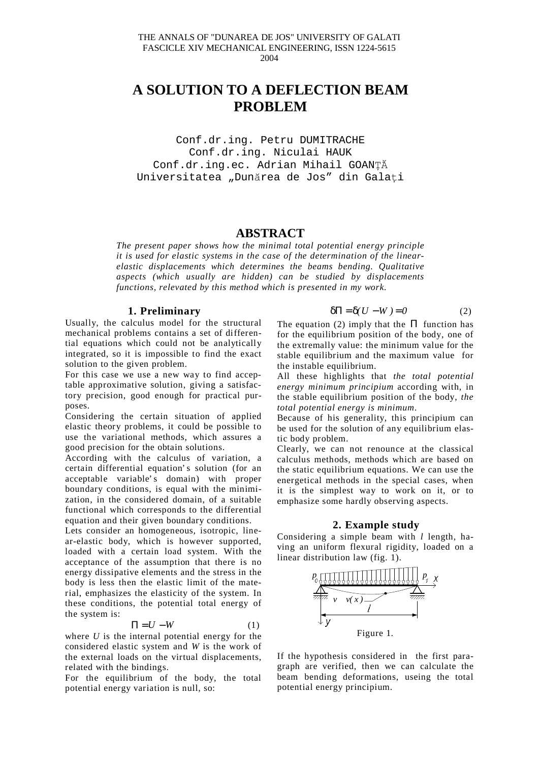# **A SOLUTION TO A DEFLECTION BEAM PROBLEM**

Conf.dr.ing. Petru DUMITRACHE Conf.dr.ing. Niculai HAUK Conf.dr.ing.ec. Adrian Mihail GOANTĂ Universitatea "Dunărea de Jos" din Galați

## **ABSTRACT**

*The present paper shows how the minimal total potential energy principle it is used for elastic systems in the case of the determination of the linearelastic displacements which determines the beams bending. Qualitative aspects (which usually are hidden) can be studied by displacements functions, relevated by this method which is presented in my work.*

#### **1. Preliminary**

Usually, the calculus model for the structural mechanical problems contains a set of differential equations which could not be analytically integrated, so it is impossible to find the exact solution to the given problem.

For this case we use a new way to find acceptable approximative solution, giving a satisfactory precision, good enough for practical purposes.

Considering the certain situation of applied elastic theory problems, it could be possible to use the variational methods, which assures a good precision for the obtain solutions.

According with the calculus of variation, a certain differential equation' s solution (for an acceptable variable's domain) with proper boundary conditions, is equal with the minimization, in the considered domain, of a suitable functional which corresponds to the differential equation and their given boundary conditions.

Lets consider an homogeneous, isotropic, linear-elastic body, which is however supported, loaded with a certain load system. With the acceptance of the assumption that there is no energy dissipative elements and the stress in the body is less then the elastic limit of the material, emphasizes the elasticity of the system. In these conditions, the potential total energy of the system is:

$$
\Pi = U - W \tag{1}
$$

where *U* is the internal potential energy for the considered elastic system and *W* is the work of the external loads on the virtual displacements, related with the bindings.

For the equilibrium of the body, the total potential energy variation is null, so:

$$
\delta \Pi = \delta (U - W) = 0 \tag{2}
$$

The equation (2) imply that the  $\Pi$  function has for the equilibrium position of the body, one of the extremally value: the minimum value for the stable equilibrium and the maximum value for the instable equilibrium.

All these highlights that *the total potential energy minimum principium* according with, in the stable equilibrium position of the body, *the total potential energy is minimum*.

Because of his generality, this principium can be used for the solution of any equilibrium elastic body problem.

Clearly, we can not renounce at the classical calculus methods, methods which are based on the static equilibrium equations. We can use the energetical methods in the special cases, when it is the simplest way to work on it, or to emphasize some hardly observing aspects.

### **2. Example study**

Considering a simple beam with *l* length, having an uniform flexural rigidity, loaded on a linear distribution law (fig. 1).



If the hypothesis considered in the first paragraph are verified, then we can calculate the beam bending deformations, useing the total potential energy principium.